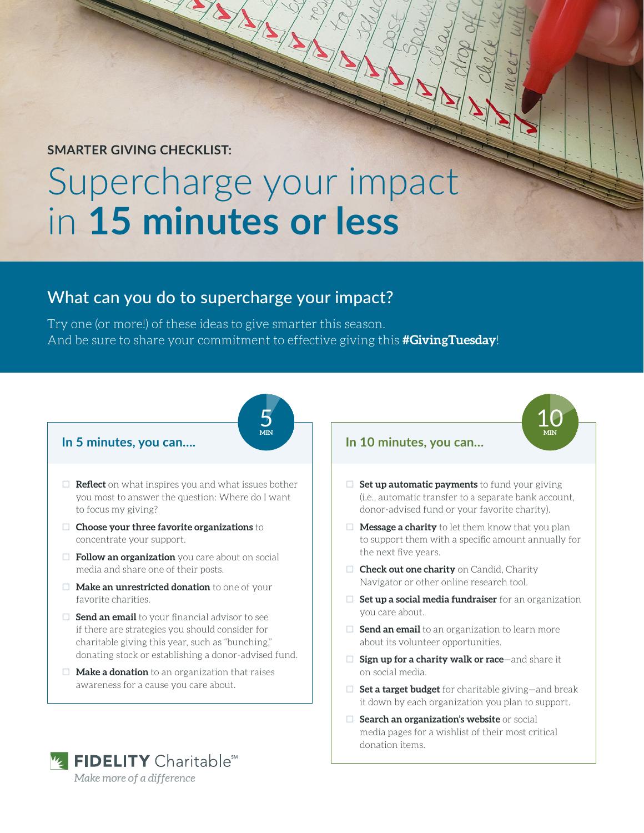# **SMARTER GIVING CHECKLIST:**

# Supercharge your impact in **15 minutes or less**

# What can you do to supercharge your impact?

Try one (or more!) of these ideas to give smarter this season. And be sure to share your commitment to effective giving this **#GivingTuesday**!

> 5 **MIN**

#### **In 5 minutes, you can….**

- $\Box$  **Reflect** on what inspires you and what issues bother you most to answer the question: Where do I want to focus my giving?
- **Choose your three favorite organizations** to concentrate your support.
- **Follow an organization** you care about on social media and share one of their posts.
- **D Make an unrestricted donation** to one of your favorite charities.
- $\Box$  **Send an email** to your financial advisor to see if there are strategies you should consider for charitable giving this year, such as "bunching," donating stock or establishing a donor-advised fund.
- □ **Make a donation** to an organization that raises awareness for a cause you care about.



#### **In 10 minutes, you can…**

 $\Box$  **Set up automatic payments** to fund your giving (i.e., automatic transfer to a separate bank account, donor-advised fund or your favorite charity).

10 **MIN**

- $\Box$  **Message a charity** to let them know that you plan to support them with a specific amount annually for the next five years.
- **Check out one charity** on Candid, Charity Navigator or other online research tool.
- **D** Set up a social media fundraiser for an organization you care about.
- $\Box$  **Send an email** to an organization to learn more about its volunteer opportunities.
- □ **Sign up for a charity walk or race**—and share it on social media.
- □ **Set a target budget** for charitable giving—and break it down by each organization you plan to support.
- $\Box$  **Search an organization's website** or social media pages for a wishlist of their most critical donation items.